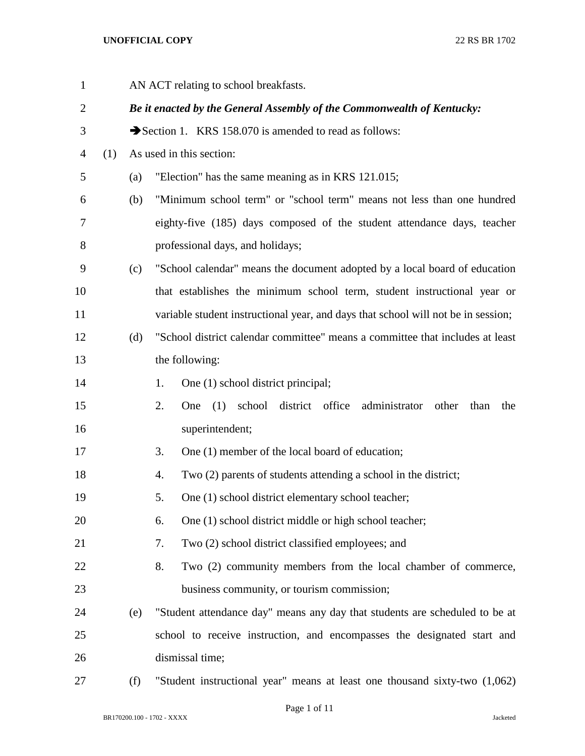| $\mathbf{1}$   |     |     | AN ACT relating to school breakfasts.                                                  |  |  |
|----------------|-----|-----|----------------------------------------------------------------------------------------|--|--|
| $\overline{2}$ |     |     | Be it enacted by the General Assembly of the Commonwealth of Kentucky:                 |  |  |
| 3              |     |     | Section 1. KRS 158.070 is amended to read as follows:                                  |  |  |
| 4              | (1) |     | As used in this section:                                                               |  |  |
| 5              |     | (a) | "Election" has the same meaning as in KRS 121.015;                                     |  |  |
| 6              |     | (b) | "Minimum school term" or "school term" means not less than one hundred                 |  |  |
| 7              |     |     | eighty-five (185) days composed of the student attendance days, teacher                |  |  |
| 8              |     |     | professional days, and holidays;                                                       |  |  |
| 9              |     | (c) | "School calendar" means the document adopted by a local board of education             |  |  |
| 10             |     |     | that establishes the minimum school term, student instructional year or                |  |  |
| 11             |     |     | variable student instructional year, and days that school will not be in session;      |  |  |
| 12             |     | (d) | "School district calendar committee" means a committee that includes at least          |  |  |
| 13             |     |     | the following:                                                                         |  |  |
| 14             |     |     | One (1) school district principal;<br>1.                                               |  |  |
| 15             |     |     | district office<br>2.<br>(1)<br>school<br>administrator<br>other<br>One<br>than<br>the |  |  |
| 16             |     |     | superintendent;                                                                        |  |  |
| 17             |     |     | One (1) member of the local board of education;<br>3.                                  |  |  |
| 18             |     |     | Two (2) parents of students attending a school in the district;<br>4.                  |  |  |
| 19             |     |     | One (1) school district elementary school teacher;<br>5.                               |  |  |
| 20             |     |     | One (1) school district middle or high school teacher;<br>6.                           |  |  |
| 21             |     |     | Two (2) school district classified employees; and<br>7.                                |  |  |
| 22             |     |     | 8.<br>Two (2) community members from the local chamber of commerce,                    |  |  |
| 23             |     |     | business community, or tourism commission;                                             |  |  |
| 24             |     | (e) | "Student attendance day" means any day that students are scheduled to be at            |  |  |
| 25             |     |     | school to receive instruction, and encompasses the designated start and                |  |  |
| 26             |     |     | dismissal time;                                                                        |  |  |
| 27             |     | (f) | "Student instructional year" means at least one thousand sixty-two (1,062)             |  |  |

BR170200.100 - 1702 - XXXX Jacketed

Page 1 of 11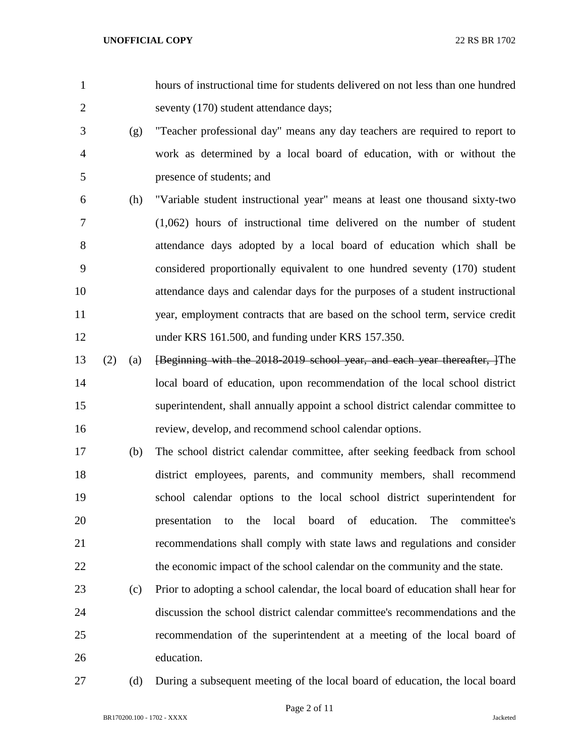- hours of instructional time for students delivered on not less than one hundred seventy (170) student attendance days;
- (g) "Teacher professional day" means any day teachers are required to report to work as determined by a local board of education, with or without the presence of students; and
- (h) "Variable student instructional year" means at least one thousand sixty-two (1,062) hours of instructional time delivered on the number of student attendance days adopted by a local board of education which shall be considered proportionally equivalent to one hundred seventy (170) student attendance days and calendar days for the purposes of a student instructional year, employment contracts that are based on the school term, service credit under KRS 161.500, and funding under KRS 157.350.
- (2) (a) [Beginning with the 2018-2019 school year, and each year thereafter, ]The local board of education, upon recommendation of the local school district superintendent, shall annually appoint a school district calendar committee to review, develop, and recommend school calendar options.
- (b) The school district calendar committee, after seeking feedback from school district employees, parents, and community members, shall recommend school calendar options to the local school district superintendent for presentation to the local board of education. The committee's recommendations shall comply with state laws and regulations and consider 22 the economic impact of the school calendar on the community and the state.
- (c) Prior to adopting a school calendar, the local board of education shall hear for discussion the school district calendar committee's recommendations and the recommendation of the superintendent at a meeting of the local board of education.
- 

(d) During a subsequent meeting of the local board of education, the local board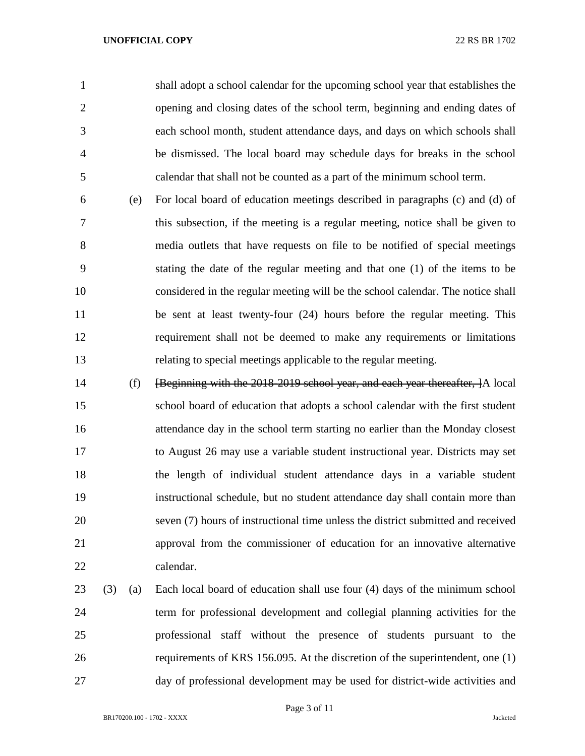shall adopt a school calendar for the upcoming school year that establishes the opening and closing dates of the school term, beginning and ending dates of each school month, student attendance days, and days on which schools shall be dismissed. The local board may schedule days for breaks in the school calendar that shall not be counted as a part of the minimum school term.

- (e) For local board of education meetings described in paragraphs (c) and (d) of this subsection, if the meeting is a regular meeting, notice shall be given to media outlets that have requests on file to be notified of special meetings stating the date of the regular meeting and that one (1) of the items to be considered in the regular meeting will be the school calendar. The notice shall be sent at least twenty-four (24) hours before the regular meeting. This requirement shall not be deemed to make any requirements or limitations relating to special meetings applicable to the regular meeting.
- (f) [Beginning with the 2018-2019 school year, and each year thereafter, ]A local school board of education that adopts a school calendar with the first student attendance day in the school term starting no earlier than the Monday closest to August 26 may use a variable student instructional year. Districts may set the length of individual student attendance days in a variable student instructional schedule, but no student attendance day shall contain more than seven (7) hours of instructional time unless the district submitted and received approval from the commissioner of education for an innovative alternative calendar.
- (3) (a) Each local board of education shall use four (4) days of the minimum school term for professional development and collegial planning activities for the professional staff without the presence of students pursuant to the requirements of KRS 156.095. At the discretion of the superintendent, one (1) day of professional development may be used for district-wide activities and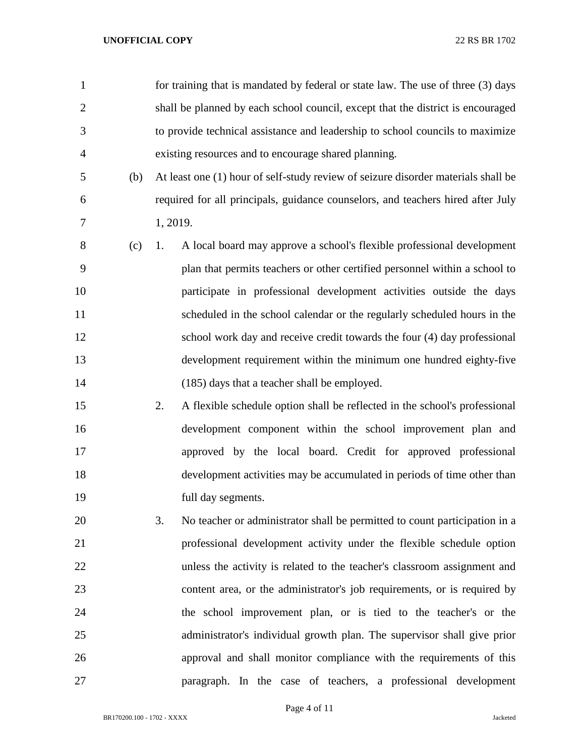| $\mathbf{1}$ |          | for training that is mandated by federal or state law. The use of three (3) days  |
|--------------|----------|-----------------------------------------------------------------------------------|
| $\mathbf{2}$ |          | shall be planned by each school council, except that the district is encouraged   |
| 3            |          | to provide technical assistance and leadership to school councils to maximize     |
| 4            |          | existing resources and to encourage shared planning.                              |
| 5<br>(b)     |          | At least one (1) hour of self-study review of seizure disorder materials shall be |
| 6            |          | required for all principals, guidance counselors, and teachers hired after July   |
| 7            | 1, 2019. |                                                                                   |
| 8<br>(c)     | 1.       | A local board may approve a school's flexible professional development            |
| 9            |          | plan that permits teachers or other certified personnel within a school to        |
| 10           |          | participate in professional development activities outside the days               |
| 11           |          | scheduled in the school calendar or the regularly scheduled hours in the          |
| 12           |          | school work day and receive credit towards the four (4) day professional          |
| 13           |          | development requirement within the minimum one hundred eighty-five                |
| 14           |          | (185) days that a teacher shall be employed.                                      |
| 15           | 2.       | A flexible schedule option shall be reflected in the school's professional        |
| 16           |          | development component within the school improvement plan and                      |
| 17           |          | approved by the local board. Credit for approved professional                     |
| 18           |          | development activities may be accumulated in periods of time other than           |
| 19           |          | full day segments.                                                                |
| 20           | 3.       | No teacher or administrator shall be permitted to count participation in a        |
| 21           |          | professional development activity under the flexible schedule option              |
| 22           |          | unless the activity is related to the teacher's classroom assignment and          |
| 23           |          | content area, or the administrator's job requirements, or is required by          |
| 24           |          | the school improvement plan, or is tied to the teacher's or the                   |
| 25           |          | administrator's individual growth plan. The supervisor shall give prior           |
| 26           |          | approval and shall monitor compliance with the requirements of this               |
| 27           |          | paragraph. In the case of teachers, a professional development                    |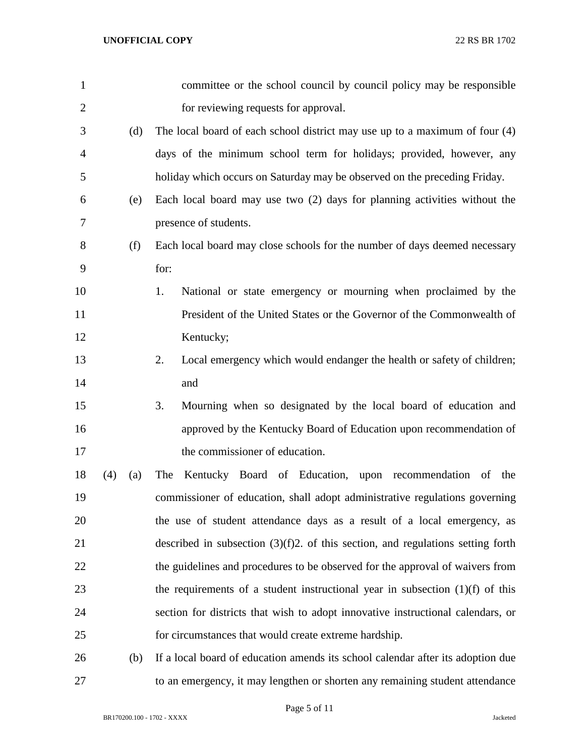| 1              |     |     | committee or the school council by council policy may be responsible               |
|----------------|-----|-----|------------------------------------------------------------------------------------|
| $\overline{2}$ |     |     | for reviewing requests for approval.                                               |
| 3              |     | (d) | The local board of each school district may use up to a maximum of four $(4)$      |
| $\overline{4}$ |     |     | days of the minimum school term for holidays; provided, however, any               |
| 5              |     |     | holiday which occurs on Saturday may be observed on the preceding Friday.          |
| 6              |     | (e) | Each local board may use two (2) days for planning activities without the          |
| $\tau$         |     |     | presence of students.                                                              |
| 8              |     | (f) | Each local board may close schools for the number of days deemed necessary         |
| 9              |     |     | for:                                                                               |
| 10             |     |     | National or state emergency or mourning when proclaimed by the<br>1.               |
| 11             |     |     | President of the United States or the Governor of the Commonwealth of              |
| 12             |     |     | Kentucky;                                                                          |
| 13             |     |     | 2.<br>Local emergency which would endanger the health or safety of children;       |
| 14             |     |     | and                                                                                |
| 15             |     |     | 3.<br>Mourning when so designated by the local board of education and              |
| 16             |     |     | approved by the Kentucky Board of Education upon recommendation of                 |
| 17             |     |     | the commissioner of education.                                                     |
| 18             | (4) | (a) | Kentucky Board of Education, upon recommendation of the<br>The                     |
| 19             |     |     | commissioner of education, shall adopt administrative regulations governing        |
| 20             |     |     | the use of student attendance days as a result of a local emergency, as            |
| 21             |     |     | described in subsection $(3)(f)2$ . of this section, and regulations setting forth |
| 22             |     |     | the guidelines and procedures to be observed for the approval of waivers from      |
| 23             |     |     | the requirements of a student instructional year in subsection $(1)(f)$ of this    |
| 24             |     |     | section for districts that wish to adopt innovative instructional calendars, or    |
| 25             |     |     | for circumstances that would create extreme hardship.                              |
| 26             |     | (b) | If a local board of education amends its school calendar after its adoption due    |
| 27             |     |     | to an emergency, it may lengthen or shorten any remaining student attendance       |

Page 5 of 11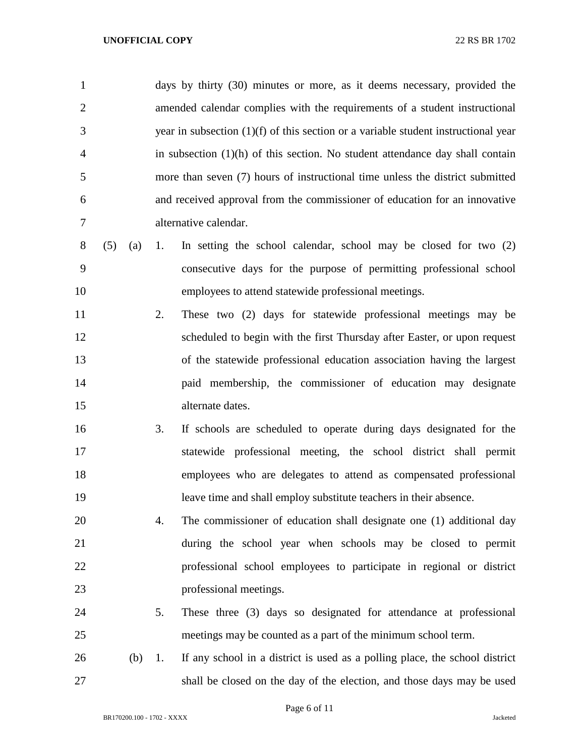| $\mathbf{1}$   |     |     |    | days by thirty (30) minutes or more, as it deems necessary, provided the             |
|----------------|-----|-----|----|--------------------------------------------------------------------------------------|
| $\overline{2}$ |     |     |    | amended calendar complies with the requirements of a student instructional           |
| 3              |     |     |    | year in subsection $(1)(f)$ of this section or a variable student instructional year |
| 4              |     |     |    | in subsection $(1)(h)$ of this section. No student attendance day shall contain      |
| 5              |     |     |    | more than seven (7) hours of instructional time unless the district submitted        |
| 6              |     |     |    | and received approval from the commissioner of education for an innovative           |
| 7              |     |     |    | alternative calendar.                                                                |
| 8              | (5) | (a) | 1. | In setting the school calendar, school may be closed for two $(2)$                   |
| 9              |     |     |    | consecutive days for the purpose of permitting professional school                   |
| 10             |     |     |    | employees to attend statewide professional meetings.                                 |
| 11             |     |     | 2. | These two (2) days for statewide professional meetings may be                        |
| 12             |     |     |    | scheduled to begin with the first Thursday after Easter, or upon request             |
| 13             |     |     |    | of the statewide professional education association having the largest               |
| 14             |     |     |    | paid membership, the commissioner of education may designate                         |
| 15             |     |     |    | alternate dates.                                                                     |
| 16             |     |     | 3. | If schools are scheduled to operate during days designated for the                   |
| 17             |     |     |    | statewide professional meeting, the school district shall permit                     |
| 18             |     |     |    | employees who are delegates to attend as compensated professional                    |
| 19             |     |     |    | leave time and shall employ substitute teachers in their absence.                    |
| 20             |     |     | 4. | The commissioner of education shall designate one (1) additional day                 |
| 21             |     |     |    | during the school year when schools may be closed to permit                          |
| 22             |     |     |    | professional school employees to participate in regional or district                 |
| 23             |     |     |    | professional meetings.                                                               |
| 24             |     |     | 5. | These three (3) days so designated for attendance at professional                    |
| 25             |     |     |    | meetings may be counted as a part of the minimum school term.                        |
| 26             |     | (b) | 1. | If any school in a district is used as a polling place, the school district          |
| 27             |     |     |    | shall be closed on the day of the election, and those days may be used               |

Page 6 of 11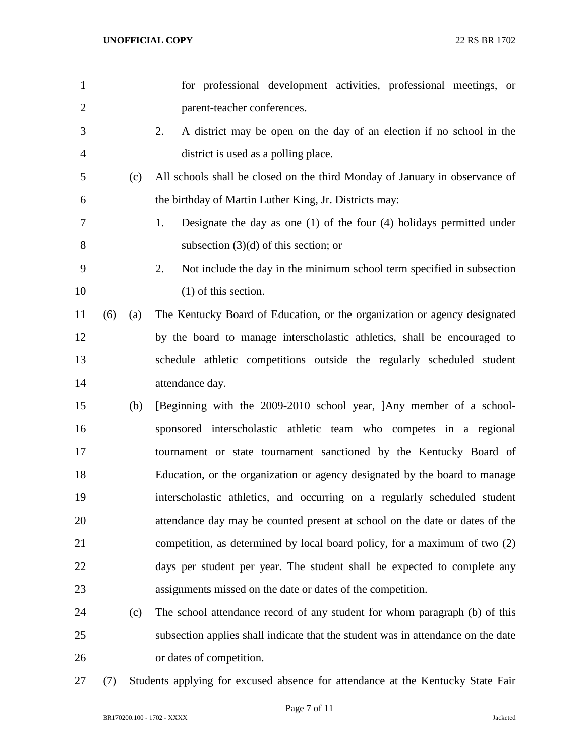| $\mathbf{1}$   |     |     | for professional development activities, professional meetings, or               |
|----------------|-----|-----|----------------------------------------------------------------------------------|
| $\overline{2}$ |     |     | parent-teacher conferences.                                                      |
| 3              |     |     | 2.<br>A district may be open on the day of an election if no school in the       |
| $\overline{4}$ |     |     | district is used as a polling place.                                             |
| 5              |     | (c) | All schools shall be closed on the third Monday of January in observance of      |
| 6              |     |     | the birthday of Martin Luther King, Jr. Districts may:                           |
| 7              |     |     | 1.<br>Designate the day as one $(1)$ of the four $(4)$ holidays permitted under  |
| 8              |     |     | subsection $(3)(d)$ of this section; or                                          |
| 9              |     |     | 2.<br>Not include the day in the minimum school term specified in subsection     |
| 10             |     |     | $(1)$ of this section.                                                           |
| 11             | (6) | (a) | The Kentucky Board of Education, or the organization or agency designated        |
| 12             |     |     | by the board to manage interscholastic athletics, shall be encouraged to         |
| 13             |     |     | schedule athletic competitions outside the regularly scheduled student           |
| 14             |     |     | attendance day.                                                                  |
| 15             |     | (b) | [Beginning with the 2009-2010 school year, ]Any member of a school-              |
| 16             |     |     | sponsored interscholastic athletic team who competes in a regional               |
| 17             |     |     | tournament or state tournament sanctioned by the Kentucky Board of               |
| 18             |     |     | Education, or the organization or agency designated by the board to manage       |
| 19             |     |     | interscholastic athletics, and occurring on a regularly scheduled student        |
| 20             |     |     | attendance day may be counted present at school on the date or dates of the      |
| 21             |     |     | competition, as determined by local board policy, for a maximum of two (2)       |
| 22             |     |     | days per student per year. The student shall be expected to complete any         |
| 23             |     |     | assignments missed on the date or dates of the competition.                      |
| 24             |     | (c) | The school attendance record of any student for whom paragraph (b) of this       |
| 25             |     |     | subsection applies shall indicate that the student was in attendance on the date |
| 26             |     |     | or dates of competition.                                                         |
|                |     |     |                                                                                  |

(7) Students applying for excused absence for attendance at the Kentucky State Fair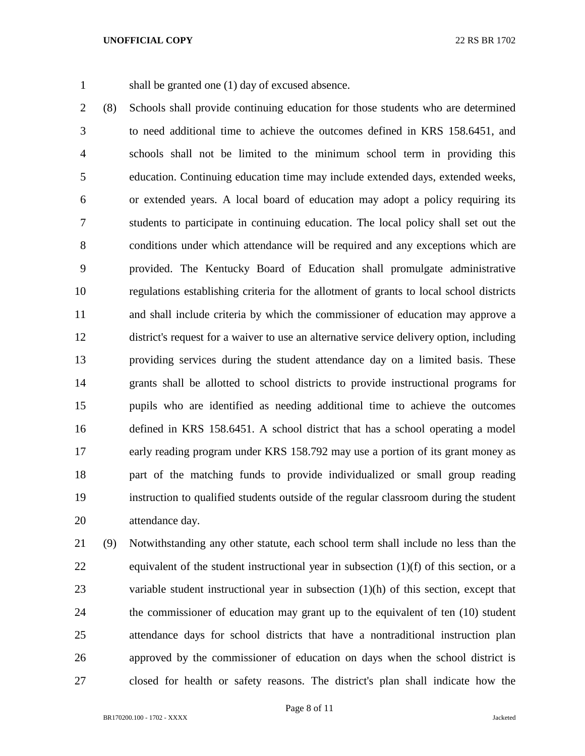shall be granted one (1) day of excused absence.

 (8) Schools shall provide continuing education for those students who are determined to need additional time to achieve the outcomes defined in KRS 158.6451, and schools shall not be limited to the minimum school term in providing this education. Continuing education time may include extended days, extended weeks, or extended years. A local board of education may adopt a policy requiring its students to participate in continuing education. The local policy shall set out the conditions under which attendance will be required and any exceptions which are provided. The Kentucky Board of Education shall promulgate administrative regulations establishing criteria for the allotment of grants to local school districts and shall include criteria by which the commissioner of education may approve a district's request for a waiver to use an alternative service delivery option, including providing services during the student attendance day on a limited basis. These grants shall be allotted to school districts to provide instructional programs for pupils who are identified as needing additional time to achieve the outcomes defined in KRS 158.6451. A school district that has a school operating a model early reading program under KRS 158.792 may use a portion of its grant money as part of the matching funds to provide individualized or small group reading instruction to qualified students outside of the regular classroom during the student attendance day.

 (9) Notwithstanding any other statute, each school term shall include no less than the equivalent of the student instructional year in subsection (1)(f) of this section, or a variable student instructional year in subsection (1)(h) of this section, except that the commissioner of education may grant up to the equivalent of ten (10) student attendance days for school districts that have a nontraditional instruction plan approved by the commissioner of education on days when the school district is closed for health or safety reasons. The district's plan shall indicate how the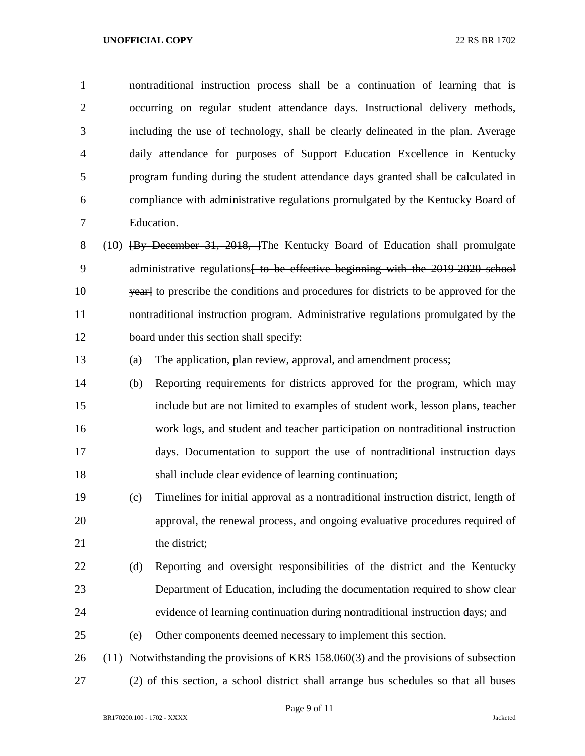nontraditional instruction process shall be a continuation of learning that is occurring on regular student attendance days. Instructional delivery methods, including the use of technology, shall be clearly delineated in the plan. Average daily attendance for purposes of Support Education Excellence in Kentucky program funding during the student attendance days granted shall be calculated in compliance with administrative regulations promulgated by the Kentucky Board of Education.

8 (10) **[By December 31, 2018, ]**The Kentucky Board of Education shall promulgate 9 administrative regulations<del> to be effective beginning with the 2019-2020 school</del> 10 yearl to prescribe the conditions and procedures for districts to be approved for the nontraditional instruction program. Administrative regulations promulgated by the board under this section shall specify:

(a) The application, plan review, approval, and amendment process;

 (b) Reporting requirements for districts approved for the program, which may include but are not limited to examples of student work, lesson plans, teacher work logs, and student and teacher participation on nontraditional instruction days. Documentation to support the use of nontraditional instruction days shall include clear evidence of learning continuation;

 (c) Timelines for initial approval as a nontraditional instruction district, length of approval, the renewal process, and ongoing evaluative procedures required of 21 the district;

 (d) Reporting and oversight responsibilities of the district and the Kentucky Department of Education, including the documentation required to show clear evidence of learning continuation during nontraditional instruction days; and

(e) Other components deemed necessary to implement this section.

 (11) Notwithstanding the provisions of KRS 158.060(3) and the provisions of subsection (2) of this section, a school district shall arrange bus schedules so that all buses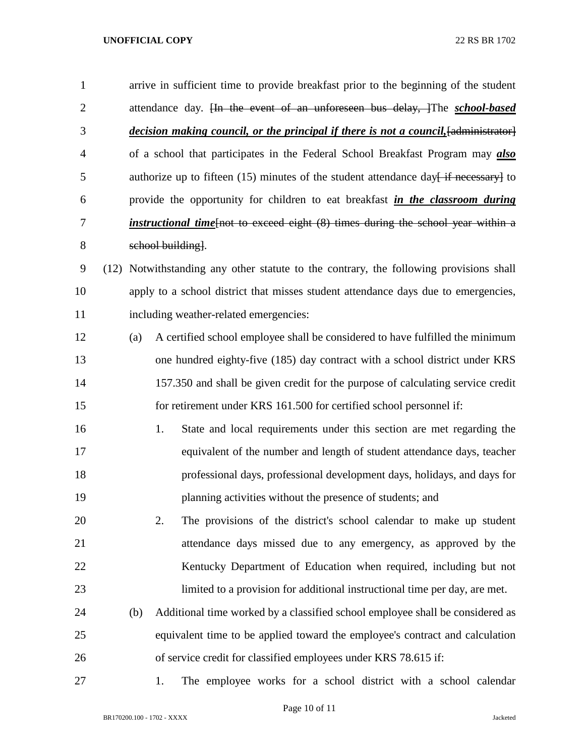arrive in sufficient time to provide breakfast prior to the beginning of the student attendance day. [In the event of an unforeseen bus delay, ]The *school-based decision making council, or the principal if there is not a council,*[administrator] of a school that participates in the Federal School Breakfast Program may *also* 5 authorize up to fifteen (15) minutes of the student attendance day  $\frac{1}{2}$  if necessary to provide the opportunity for children to eat breakfast *in the classroom during instructional time*[not to exceed eight (8) times during the school year within a school building].

 (12) Notwithstanding any other statute to the contrary, the following provisions shall apply to a school district that misses student attendance days due to emergencies, including weather-related emergencies:

- (a) A certified school employee shall be considered to have fulfilled the minimum one hundred eighty-five (185) day contract with a school district under KRS 157.350 and shall be given credit for the purpose of calculating service credit for retirement under KRS 161.500 for certified school personnel if:
- 1. State and local requirements under this section are met regarding the equivalent of the number and length of student attendance days, teacher professional days, professional development days, holidays, and days for planning activities without the presence of students; and
- 2. The provisions of the district's school calendar to make up student attendance days missed due to any emergency, as approved by the 22 Kentucky Department of Education when required, including but not limited to a provision for additional instructional time per day, are met.
- (b) Additional time worked by a classified school employee shall be considered as equivalent time to be applied toward the employee's contract and calculation of service credit for classified employees under KRS 78.615 if:
- 

1. The employee works for a school district with a school calendar